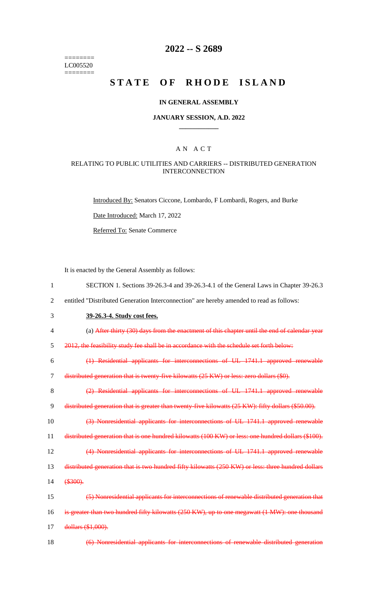======== LC005520 ========

# **2022 -- S 2689**

# **STATE OF RHODE ISLAND**

#### **IN GENERAL ASSEMBLY**

#### **JANUARY SESSION, A.D. 2022 \_\_\_\_\_\_\_\_\_\_\_\_**

### A N A C T

### RELATING TO PUBLIC UTILITIES AND CARRIERS -- DISTRIBUTED GENERATION INTERCONNECTION

Introduced By: Senators Ciccone, Lombardo, F Lombardi, Rogers, and Burke

Date Introduced: March 17, 2022

Referred To: Senate Commerce

It is enacted by the General Assembly as follows:

- 1 SECTION 1. Sections 39-26.3-4 and 39-26.3-4.1 of the General Laws in Chapter 39-26.3
- 2 entitled "Distributed Generation Interconnection" are hereby amended to read as follows:
- 3 **39-26.3-4. Study cost fees.**
- 4 (a) After thirty (30) days from the enactment of this chapter until the end of calendar year
- 5 2012, the feasibility study fee shall be in accordance with the schedule set forth below:

6 (1) Residential applicants for interconnections of UL 1741.1 approved renewable

7 distributed generation that is twenty-five kilowatts (25 KW) or less: zero dollars (\$0).

8 (2) Residential applicants for interconnections of UL 1741.1 approved renewable 9 distributed generation that is greater than twenty-five kilowatts (25 KW): fifty dollars (\$50.00).

10 (3) Nonresidential applicants for interconnections of UL 1741.1 approved renewable 11 distributed generation that is one hundred kilowatts (100 KW) or less: one hundred dollars (\$100).

12 (4) Nonresidential applicants for interconnections of UL 1741.1 approved renewable

13 distributed generation that is two hundred fifty kilowatts (250 KW) or less: three hundred dollars

14 (\$300).

| 15 | (5) Nonresidential applicants for interconnections of renewable distributed generation that   |
|----|-----------------------------------------------------------------------------------------------|
| 16 | is greater than two hundred fifty kilowatts (250 KW), up to one megawatt (1 MW): one thousand |
| 17 | dollars (\$1,000).                                                                            |

18 (6) Nonresidential applicants for interconnections of renewable distributed generation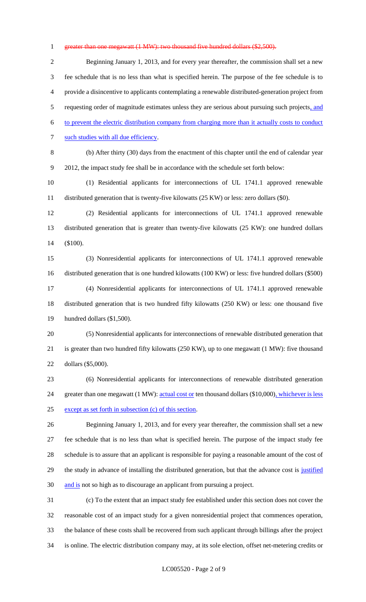#### 1 greater than one megawatt (1 MW): two thousand five hundred dollars (\$2,500).

 Beginning January 1, 2013, and for every year thereafter, the commission shall set a new fee schedule that is no less than what is specified herein. The purpose of the fee schedule is to provide a disincentive to applicants contemplating a renewable distributed-generation project from 5 requesting order of magnitude estimates unless they are serious about pursuing such projects, and to prevent the electric distribution company from charging more than it actually costs to conduct 7 such studies with all due efficiency. (b) After thirty (30) days from the enactment of this chapter until the end of calendar year 2012, the impact study fee shall be in accordance with the schedule set forth below: (1) Residential applicants for interconnections of UL 1741.1 approved renewable distributed generation that is twenty-five kilowatts (25 KW) or less: zero dollars (\$0). (2) Residential applicants for interconnections of UL 1741.1 approved renewable distributed generation that is greater than twenty-five kilowatts (25 KW): one hundred dollars (\$100). (3) Nonresidential applicants for interconnections of UL 1741.1 approved renewable distributed generation that is one hundred kilowatts (100 KW) or less: five hundred dollars (\$500) (4) Nonresidential applicants for interconnections of UL 1741.1 approved renewable distributed generation that is two hundred fifty kilowatts (250 KW) or less: one thousand five hundred dollars (\$1,500). (5) Nonresidential applicants for interconnections of renewable distributed generation that is greater than two hundred fifty kilowatts (250 KW), up to one megawatt (1 MW): five thousand dollars (\$5,000).

 (6) Nonresidential applicants for interconnections of renewable distributed generation 24 greater than one megawatt (1 MW): actual cost or ten thousand dollars (\$10,000), whichever is less except as set forth in subsection (c) of this section.

 Beginning January 1, 2013, and for every year thereafter, the commission shall set a new fee schedule that is no less than what is specified herein. The purpose of the impact study fee schedule is to assure that an applicant is responsible for paying a reasonable amount of the cost of 29 the study in advance of installing the distributed generation, but that the advance cost is justified 30 and is not so high as to discourage an applicant from pursuing a project.

 (c) To the extent that an impact study fee established under this section does not cover the reasonable cost of an impact study for a given nonresidential project that commences operation, the balance of these costs shall be recovered from such applicant through billings after the project is online. The electric distribution company may, at its sole election, offset net-metering credits or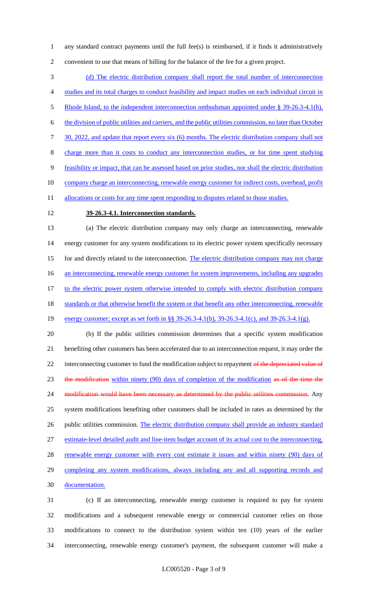1 any standard contract payments until the full fee(s) is reimbursed, if it finds it administratively 2 convenient to use that means of billing for the balance of the fee for a given project.

3 (d) The electric distribution company shall report the total number of interconnection 4 studies and its total charges to conduct feasibility and impact studies on each individual circuit in 5 Rhode Island, to the independent interconnection ombudsman appointed under § 39-26.3-4.1(h), 6 the division of public utilities and carriers, and the public utilities commission, no later than October 7 30, 2022, and update that report every six (6) months. The electric distribution company shall not 8 charge more than it costs to conduct any interconnection studies, or for time spent studying 9 feasibility or impact, that can be assessed based on prior studies, nor shall the electric distribution 10 company charge an interconnecting, renewable energy customer for indirect costs, overhead, profit 11 allocations or costs for any time spent responding to disputes related to those studies.

# 12 **39-26.3-4.1. Interconnection standards.**

13 (a) The electric distribution company may only charge an interconnecting, renewable 14 energy customer for any system modifications to its electric power system specifically necessary 15 for and directly related to the interconnection. The electric distribution company may not charge 16 an interconnecting, renewable energy customer for system improvements, including any upgrades 17 to the electric power system otherwise intended to comply with electric distribution company 18 standards or that otherwise benefit the system or that benefit any other interconnecting, renewable 19 energy customer; except as set forth in §§ 39-26.3-4.1(b), 39-26.3-4.1(c), and 39-26.3-4.1(g). 20 (b) If the public utilities commission determines that a specific system modification

21 benefiting other customers has been accelerated due to an interconnection request, it may order the 22 interconnecting customer to fund the modification subject to repayment of the depreciated value of 23 the modification within ninety (90) days of completion of the modification as of the time the 24 modification would have been necessary as determined by the public utilities commission. Any 25 system modifications benefiting other customers shall be included in rates as determined by the 26 public utilities commission. The electric distribution company shall provide an industry standard 27 estimate-level detailed audit and line-item budget account of its actual cost to the interconnecting, 28 renewable energy customer with every cost estimate it issues and within ninety (90) days of 29 completing any system modifications, always including any and all supporting records and 30 documentation.

 (c) If an interconnecting, renewable energy customer is required to pay for system modifications and a subsequent renewable energy or commercial customer relies on those modifications to connect to the distribution system within ten (10) years of the earlier interconnecting, renewable energy customer's payment, the subsequent customer will make a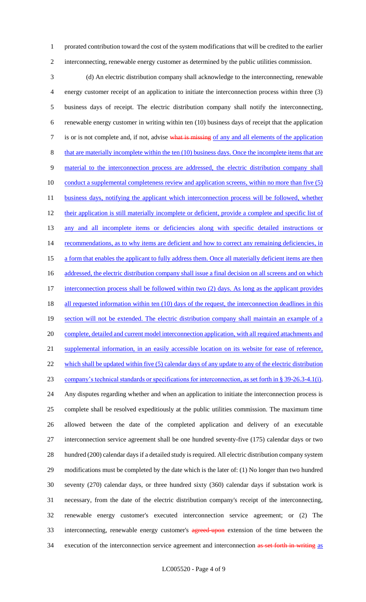1 prorated contribution toward the cost of the system modifications that will be credited to the earlier 2 interconnecting, renewable energy customer as determined by the public utilities commission.

3 (d) An electric distribution company shall acknowledge to the interconnecting, renewable 4 energy customer receipt of an application to initiate the interconnection process within three (3) 5 business days of receipt. The electric distribution company shall notify the interconnecting, 6 renewable energy customer in writing within ten (10) business days of receipt that the application 7 is or is not complete and, if not, advise what is missing of any and all elements of the application 8 that are materially incomplete within the ten (10) business days. Once the incomplete items that are 9 material to the interconnection process are addressed, the electric distribution company shall 10 conduct a supplemental completeness review and application screens, within no more than five (5) 11 business days, notifying the applicant which interconnection process will be followed, whether 12 their application is still materially incomplete or deficient, provide a complete and specific list of 13 any and all incomplete items or deficiencies along with specific detailed instructions or 14 recommendations, as to why items are deficient and how to correct any remaining deficiencies, in 15 a form that enables the applicant to fully address them. Once all materially deficient items are then 16 addressed, the electric distribution company shall issue a final decision on all screens and on which 17 interconnection process shall be followed within two (2) days. As long as the applicant provides 18 all requested information within ten (10) days of the request, the interconnection deadlines in this 19 section will not be extended. The electric distribution company shall maintain an example of a 20 complete, detailed and current model interconnection application, with all required attachments and 21 supplemental information, in an easily accessible location on its website for ease of reference, 22 which shall be updated within five (5) calendar days of any update to any of the electric distribution 23 company's technical standards or specifications for interconnection, as set forth in § 39-26.3-4.1(i). 24 Any disputes regarding whether and when an application to initiate the interconnection process is 25 complete shall be resolved expeditiously at the public utilities commission. The maximum time 26 allowed between the date of the completed application and delivery of an executable 27 interconnection service agreement shall be one hundred seventy-five (175) calendar days or two 28 hundred (200) calendar days if a detailed study is required. All electric distribution company system 29 modifications must be completed by the date which is the later of: (1) No longer than two hundred 30 seventy (270) calendar days, or three hundred sixty (360) calendar days if substation work is 31 necessary, from the date of the electric distribution company's receipt of the interconnecting, 32 renewable energy customer's executed interconnection service agreement; or (2) The 33 interconnecting, renewable energy customer's agreed-upon extension of the time between the 34 execution of the interconnection service agreement and interconnection as set forth in writing as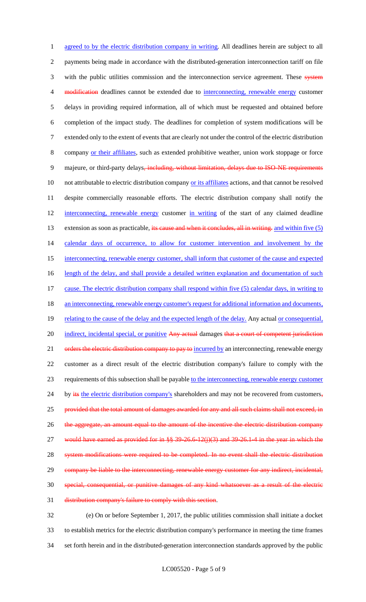1 agreed to by the electric distribution company in writing. All deadlines herein are subject to all 2 payments being made in accordance with the distributed-generation interconnection tariff on file 3 with the public utilities commission and the interconnection service agreement. These system 4 modification deadlines cannot be extended due to interconnecting, renewable energy customer 5 delays in providing required information, all of which must be requested and obtained before 6 completion of the impact study. The deadlines for completion of system modifications will be 7 extended only to the extent of events that are clearly not under the control of the electric distribution 8 company or their affiliates, such as extended prohibitive weather, union work stoppage or force 9 majeure, or third-party delays, including, without limitation, delays due to ISO-NE requirements 10 not attributable to electric distribution company or its affiliates actions, and that cannot be resolved 11 despite commercially reasonable efforts. The electric distribution company shall notify the 12 interconnecting, renewable energy customer in writing of the start of any claimed deadline 13 extension as soon as practicable, its cause and when it concludes, all in writing. and within five (5) 14 calendar days of occurrence, to allow for customer intervention and involvement by the 15 interconnecting, renewable energy customer, shall inform that customer of the cause and expected 16 length of the delay, and shall provide a detailed written explanation and documentation of such 17 cause. The electric distribution company shall respond within five (5) calendar days, in writing to 18 an interconnecting, renewable energy customer's request for additional information and documents, 19 relating to the cause of the delay and the expected length of the delay. Any actual or consequential, 20 indirect, incidental special, or punitive Any actual damages that a court of competent jurisdiction 21 orders the electric distribution company to pay to incurred by an interconnecting, renewable energy 22 customer as a direct result of the electric distribution company's failure to comply with the 23 requirements of this subsection shall be payable to the interconnecting, renewable energy customer 24 by its the electric distribution company's shareholders and may not be recovered from customers, 25 provided that the total amount of damages awarded for any and all such claims shall not exceed, in 26 the aggregate, an amount equal to the amount of the incentive the electric distribution company 27 would have earned as provided for in  $\frac{8}{5}$  39-26.6-12(j)(3) and 39-26.1-4 in the year in which the 28 system modifications were required to be completed. In no event shall the electric distribution 29 company be liable to the interconnecting, renewable energy customer for any indirect, incidental, 30 special, consequential, or punitive damages of any kind whatsoever as a result of the electric 31 distribution company's failure to comply with this section.

32 (e) On or before September 1, 2017, the public utilities commission shall initiate a docket 33 to establish metrics for the electric distribution company's performance in meeting the time frames 34 set forth herein and in the distributed-generation interconnection standards approved by the public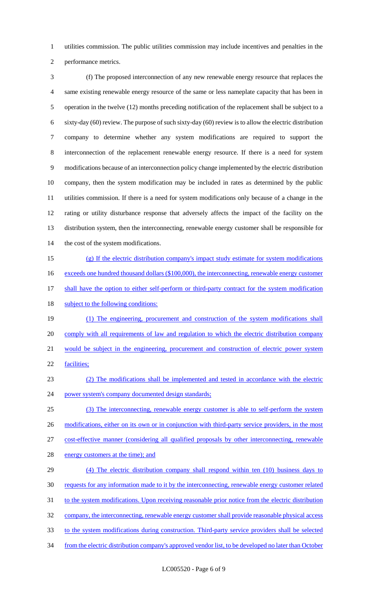utilities commission. The public utilities commission may include incentives and penalties in the performance metrics.

 (f) The proposed interconnection of any new renewable energy resource that replaces the same existing renewable energy resource of the same or less nameplate capacity that has been in operation in the twelve (12) months preceding notification of the replacement shall be subject to a sixty-day (60) review. The purpose of such sixty-day (60) review is to allow the electric distribution company to determine whether any system modifications are required to support the interconnection of the replacement renewable energy resource. If there is a need for system modifications because of an interconnection policy change implemented by the electric distribution company, then the system modification may be included in rates as determined by the public utilities commission. If there is a need for system modifications only because of a change in the rating or utility disturbance response that adversely affects the impact of the facility on the distribution system, then the interconnecting, renewable energy customer shall be responsible for 14 the cost of the system modifications.

- (g) If the electric distribution company's impact study estimate for system modifications 16 exceeds one hundred thousand dollars (\$100,000), the interconnecting, renewable energy customer 17 shall have the option to either self-perform or third-party contract for the system modification 18 subject to the following conditions:
- (1) The engineering, procurement and construction of the system modifications shall comply with all requirements of law and regulation to which the electric distribution company would be subject in the engineering, procurement and construction of electric power system facilities;
- (2) The modifications shall be implemented and tested in accordance with the electric power system's company documented design standards;
- (3) The interconnecting, renewable energy customer is able to self-perform the system 26 modifications, either on its own or in conjunction with third-party service providers, in the most cost-effective manner (considering all qualified proposals by other interconnecting, renewable
- 28 energy customers at the time); and
- (4) The electric distribution company shall respond within ten (10) business days to requests for any information made to it by the interconnecting, renewable energy customer related 31 to the system modifications. Upon receiving reasonable prior notice from the electric distribution company, the interconnecting, renewable energy customer shall provide reasonable physical access to the system modifications during construction. Third-party service providers shall be selected from the electric distribution company's approved vendor list, to be developed no later than October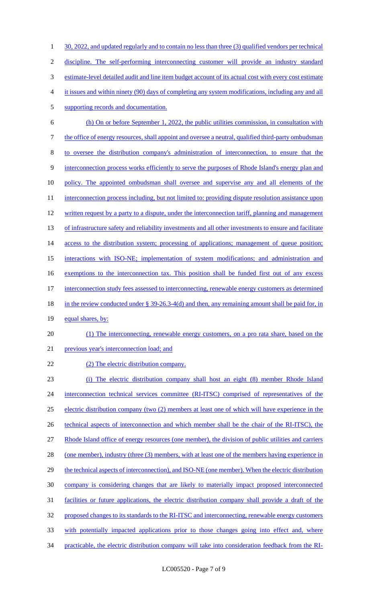1 30, 2022, and updated regularly and to contain no less than three (3) qualified vendors per technical 2 discipline. The self-performing interconnecting customer will provide an industry standard 3 estimate-level detailed audit and line item budget account of its actual cost with every cost estimate 4 it issues and within ninety (90) days of completing any system modifications, including any and all 5 supporting records and documentation. 6 (h) On or before September 1, 2022, the public utilities commission, in consultation with 7 the office of energy resources, shall appoint and oversee a neutral, qualified third-party ombudsman 8 to oversee the distribution company's administration of interconnection, to ensure that the 9 interconnection process works efficiently to serve the purposes of Rhode Island's energy plan and 10 policy. The appointed ombudsman shall oversee and supervise any and all elements of the 11 interconnection process including, but not limited to: providing dispute resolution assistance upon 12 written request by a party to a dispute, under the interconnection tariff, planning and management 13 of infrastructure safety and reliability investments and all other investments to ensure and facilitate 14 access to the distribution system; processing of applications; management of queue position; 15 interactions with ISO-NE; implementation of system modifications; and administration and 16 exemptions to the interconnection tax. This position shall be funded first out of any excess 17 interconnection study fees assessed to interconnecting, renewable energy customers as determined 18 in the review conducted under § 39-26.3-4(d) and then, any remaining amount shall be paid for, in 19 equal shares, by: 20 (1) The interconnecting, renewable energy customers, on a pro rata share, based on the 21 previous year's interconnection load; and 22 (2) The electric distribution company. 23 (i) The electric distribution company shall host an eight (8) member Rhode Island 24 interconnection technical services committee (RI-ITSC) comprised of representatives of the 25 electric distribution company (two (2) members at least one of which will have experience in the 26 technical aspects of interconnection and which member shall be the chair of the RI-ITSC), the 27 Rhode Island office of energy resources (one member), the division of public utilities and carriers 28 (one member), industry (three (3) members, with at least one of the members having experience in 29 the technical aspects of interconnection), and ISO-NE (one member). When the electric distribution 30 company is considering changes that are likely to materially impact proposed interconnected

- 31 facilities or future applications, the electric distribution company shall provide a draft of the
- 32 proposed changes to its standards to the RI-ITSC and interconnecting, renewable energy customers
- 33 with potentially impacted applications prior to those changes going into effect and, where
- 34 practicable, the electric distribution company will take into consideration feedback from the RI-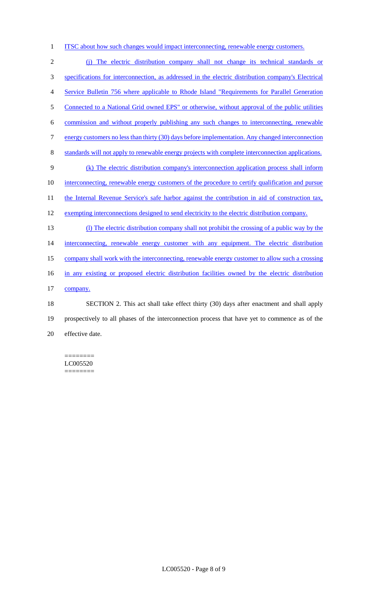1 ITSC about how such changes would impact interconnecting, renewable energy customers.

2 (j) The electric distribution company shall not change its technical standards or 3 specifications for interconnection, as addressed in the electric distribution company's Electrical 4 Service Bulletin 756 where applicable to Rhode Island "Requirements for Parallel Generation 5 Connected to a National Grid owned EPS" or otherwise, without approval of the public utilities 6 commission and without properly publishing any such changes to interconnecting, renewable 7 energy customers no less than thirty (30) days before implementation. Any changed interconnection 8 standards will not apply to renewable energy projects with complete interconnection applications. 9 (k) The electric distribution company's interconnection application process shall inform 10 interconnecting, renewable energy customers of the procedure to certify qualification and pursue 11 the Internal Revenue Service's safe harbor against the contribution in aid of construction tax, 12 exempting interconnections designed to send electricity to the electric distribution company. 13 (l) The electric distribution company shall not prohibit the crossing of a public way by the 14 interconnecting, renewable energy customer with any equipment. The electric distribution 15 company shall work with the interconnecting, renewable energy customer to allow such a crossing 16 in any existing or proposed electric distribution facilities owned by the electric distribution 17 company. 18 SECTION 2. This act shall take effect thirty (30) days after enactment and shall apply 19 prospectively to all phases of the interconnection process that have yet to commence as of the 20 effective date.

======== LC005520 ========